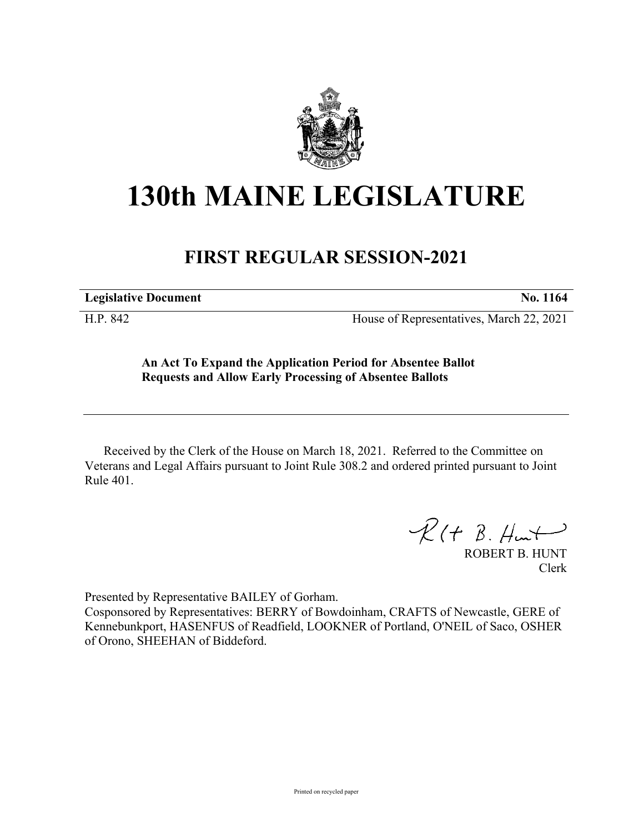

## **130th MAINE LEGISLATURE**

## **FIRST REGULAR SESSION-2021**

**Legislative Document No. 1164**

H.P. 842 House of Representatives, March 22, 2021

**An Act To Expand the Application Period for Absentee Ballot Requests and Allow Early Processing of Absentee Ballots**

Received by the Clerk of the House on March 18, 2021. Referred to the Committee on Veterans and Legal Affairs pursuant to Joint Rule 308.2 and ordered printed pursuant to Joint Rule 401.

 $R(H B. H<sub>un</sub>+)$ 

ROBERT B. HUNT Clerk

Presented by Representative BAILEY of Gorham.

Cosponsored by Representatives: BERRY of Bowdoinham, CRAFTS of Newcastle, GERE of Kennebunkport, HASENFUS of Readfield, LOOKNER of Portland, O'NEIL of Saco, OSHER of Orono, SHEEHAN of Biddeford.